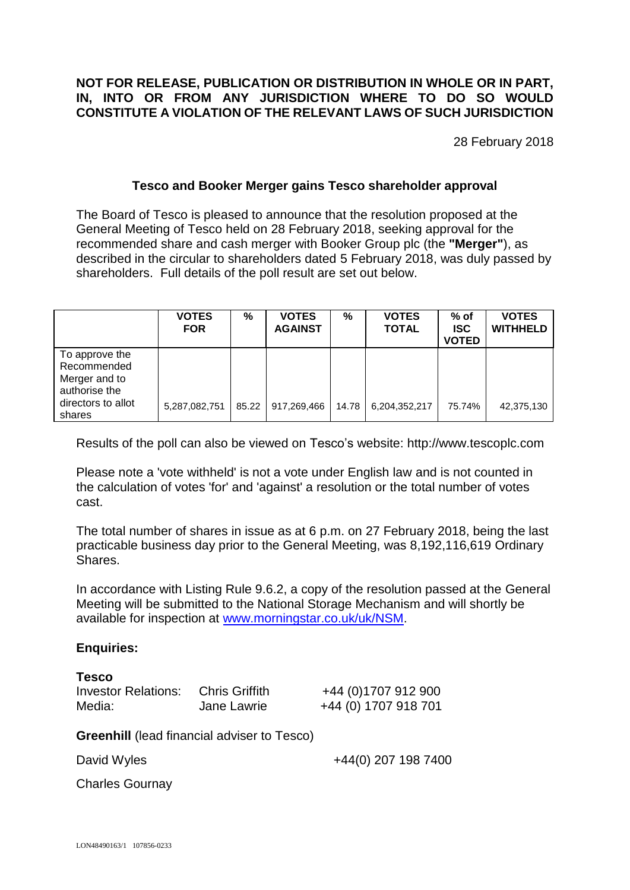# **NOT FOR RELEASE, PUBLICATION OR DISTRIBUTION IN WHOLE OR IN PART, IN, INTO OR FROM ANY JURISDICTION WHERE TO DO SO WOULD CONSTITUTE A VIOLATION OF THE RELEVANT LAWS OF SUCH JURISDICTION**

28 February 2018

# **Tesco and Booker Merger gains Tesco shareholder approval**

The Board of Tesco is pleased to announce that the resolution proposed at the General Meeting of Tesco held on 28 February 2018, seeking approval for the recommended share and cash merger with Booker Group plc (the **"Merger"**), as described in the circular to shareholders dated 5 February 2018, was duly passed by shareholders. Full details of the poll result are set out below.

|                                                                                                 | <b>VOTES</b><br><b>FOR</b> | %     | <b>VOTES</b><br><b>AGAINST</b> | %     | <b>VOTES</b><br><b>TOTAL</b> | $%$ of<br><b>ISC</b><br><b>VOTED</b> | <b>VOTES</b><br><b>WITHHELD</b> |
|-------------------------------------------------------------------------------------------------|----------------------------|-------|--------------------------------|-------|------------------------------|--------------------------------------|---------------------------------|
| To approve the<br>Recommended<br>Merger and to<br>authorise the<br>directors to allot<br>shares | 5,287,082,751              | 85.22 | 917,269,466                    | 14.78 | 6,204,352,217                | 75.74%                               | 42,375,130                      |

Results of the poll can also be viewed on Tesco's website: http://www.tescoplc.com

Please note a 'vote withheld' is not a vote under English law and is not counted in the calculation of votes 'for' and 'against' a resolution or the total number of votes cast.

The total number of shares in issue as at 6 p.m. on 27 February 2018, being the last practicable business day prior to the General Meeting, was 8,192,116,619 Ordinary Shares.

In accordance with Listing Rule 9.6.2, a copy of the resolution passed at the General Meeting will be submitted to the National Storage Mechanism and will shortly be available for inspection at [www.morningstar.co.uk/uk/NSM.](http://www.morningstar.co.uk/uk/NSM)

### **Enquiries:**

| <b>Tesco</b>        |                       |
|---------------------|-----------------------|
| Investor Relations: | <b>Chris Griffith</b> |
| Media:              | Jane Lawrie           |

Investor Relations: Chris Griffith +44 (0)1707 912 900 +44 (0) 1707 918 701

**Greenhill** (lead financial adviser to Tesco)

David Wyles **+44(0)** 207 198 7400

Charles Gournay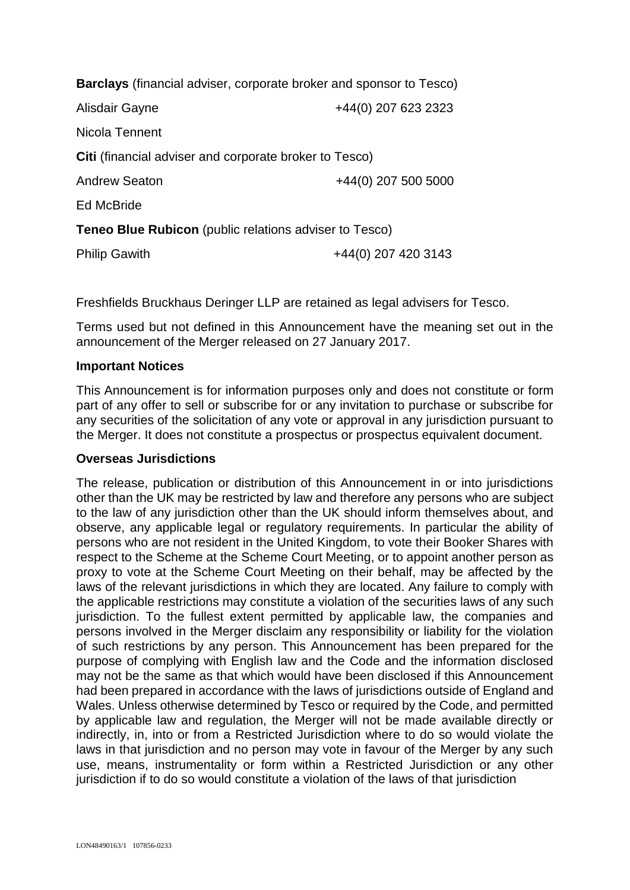| <b>Barclays</b> (financial adviser, corporate broker and sponsor to Tesco) |                     |  |  |  |  |
|----------------------------------------------------------------------------|---------------------|--|--|--|--|
| Alisdair Gayne                                                             | +44(0) 207 623 2323 |  |  |  |  |
| Nicola Tennent                                                             |                     |  |  |  |  |
| Citi (financial adviser and corporate broker to Tesco)                     |                     |  |  |  |  |
| <b>Andrew Seaton</b>                                                       | +44(0) 207 500 5000 |  |  |  |  |
| <b>Ed McBride</b>                                                          |                     |  |  |  |  |
| <b>Teneo Blue Rubicon</b> (public relations adviser to Tesco)              |                     |  |  |  |  |
| <b>Philip Gawith</b>                                                       | +44(0) 207 420 3143 |  |  |  |  |

Freshfields Bruckhaus Deringer LLP are retained as legal advisers for Tesco.

Terms used but not defined in this Announcement have the meaning set out in the announcement of the Merger released on 27 January 2017.

### **Important Notices**

This Announcement is for information purposes only and does not constitute or form part of any offer to sell or subscribe for or any invitation to purchase or subscribe for any securities of the solicitation of any vote or approval in any jurisdiction pursuant to the Merger. It does not constitute a prospectus or prospectus equivalent document.

### **Overseas Jurisdictions**

The release, publication or distribution of this Announcement in or into jurisdictions other than the UK may be restricted by law and therefore any persons who are subject to the law of any jurisdiction other than the UK should inform themselves about, and observe, any applicable legal or regulatory requirements. In particular the ability of persons who are not resident in the United Kingdom, to vote their Booker Shares with respect to the Scheme at the Scheme Court Meeting, or to appoint another person as proxy to vote at the Scheme Court Meeting on their behalf, may be affected by the laws of the relevant jurisdictions in which they are located. Any failure to comply with the applicable restrictions may constitute a violation of the securities laws of any such jurisdiction. To the fullest extent permitted by applicable law, the companies and persons involved in the Merger disclaim any responsibility or liability for the violation of such restrictions by any person. This Announcement has been prepared for the purpose of complying with English law and the Code and the information disclosed may not be the same as that which would have been disclosed if this Announcement had been prepared in accordance with the laws of jurisdictions outside of England and Wales. Unless otherwise determined by Tesco or required by the Code, and permitted by applicable law and regulation, the Merger will not be made available directly or indirectly, in, into or from a Restricted Jurisdiction where to do so would violate the laws in that jurisdiction and no person may vote in favour of the Merger by any such use, means, instrumentality or form within a Restricted Jurisdiction or any other iurisdiction if to do so would constitute a violation of the laws of that jurisdiction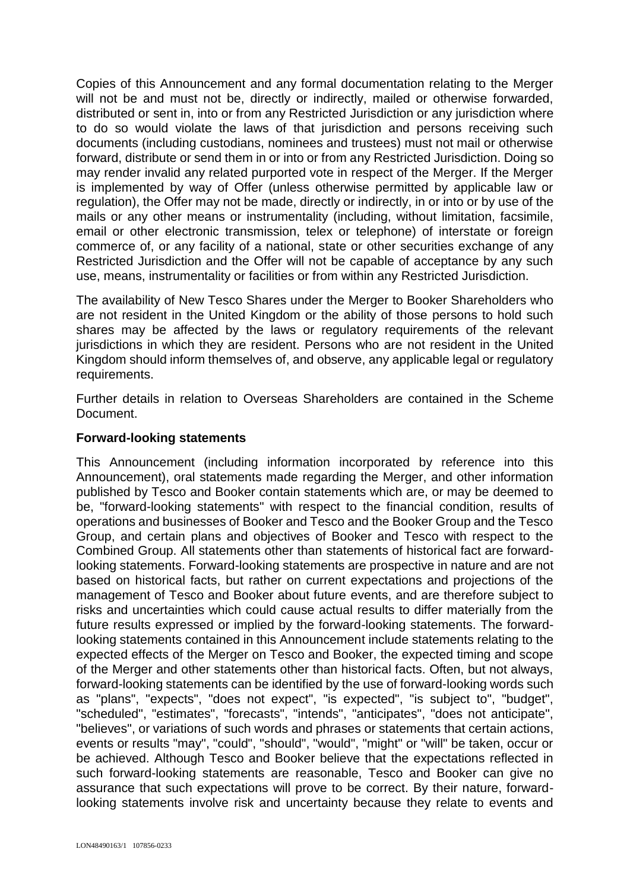Copies of this Announcement and any formal documentation relating to the Merger will not be and must not be, directly or indirectly, mailed or otherwise forwarded, distributed or sent in, into or from any Restricted Jurisdiction or any jurisdiction where to do so would violate the laws of that jurisdiction and persons receiving such documents (including custodians, nominees and trustees) must not mail or otherwise forward, distribute or send them in or into or from any Restricted Jurisdiction. Doing so may render invalid any related purported vote in respect of the Merger. If the Merger is implemented by way of Offer (unless otherwise permitted by applicable law or regulation), the Offer may not be made, directly or indirectly, in or into or by use of the mails or any other means or instrumentality (including, without limitation, facsimile, email or other electronic transmission, telex or telephone) of interstate or foreign commerce of, or any facility of a national, state or other securities exchange of any Restricted Jurisdiction and the Offer will not be capable of acceptance by any such use, means, instrumentality or facilities or from within any Restricted Jurisdiction.

The availability of New Tesco Shares under the Merger to Booker Shareholders who are not resident in the United Kingdom or the ability of those persons to hold such shares may be affected by the laws or regulatory requirements of the relevant jurisdictions in which they are resident. Persons who are not resident in the United Kingdom should inform themselves of, and observe, any applicable legal or regulatory requirements.

Further details in relation to Overseas Shareholders are contained in the Scheme Document.

# **Forward-looking statements**

This Announcement (including information incorporated by reference into this Announcement), oral statements made regarding the Merger, and other information published by Tesco and Booker contain statements which are, or may be deemed to be, "forward-looking statements" with respect to the financial condition, results of operations and businesses of Booker and Tesco and the Booker Group and the Tesco Group, and certain plans and objectives of Booker and Tesco with respect to the Combined Group. All statements other than statements of historical fact are forwardlooking statements. Forward-looking statements are prospective in nature and are not based on historical facts, but rather on current expectations and projections of the management of Tesco and Booker about future events, and are therefore subject to risks and uncertainties which could cause actual results to differ materially from the future results expressed or implied by the forward-looking statements. The forwardlooking statements contained in this Announcement include statements relating to the expected effects of the Merger on Tesco and Booker, the expected timing and scope of the Merger and other statements other than historical facts. Often, but not always, forward-looking statements can be identified by the use of forward-looking words such as "plans", "expects", "does not expect", "is expected", "is subject to", "budget", "scheduled", "estimates", "forecasts", "intends", "anticipates", "does not anticipate", "believes", or variations of such words and phrases or statements that certain actions, events or results "may", "could", "should", "would", "might" or "will" be taken, occur or be achieved. Although Tesco and Booker believe that the expectations reflected in such forward-looking statements are reasonable, Tesco and Booker can give no assurance that such expectations will prove to be correct. By their nature, forwardlooking statements involve risk and uncertainty because they relate to events and